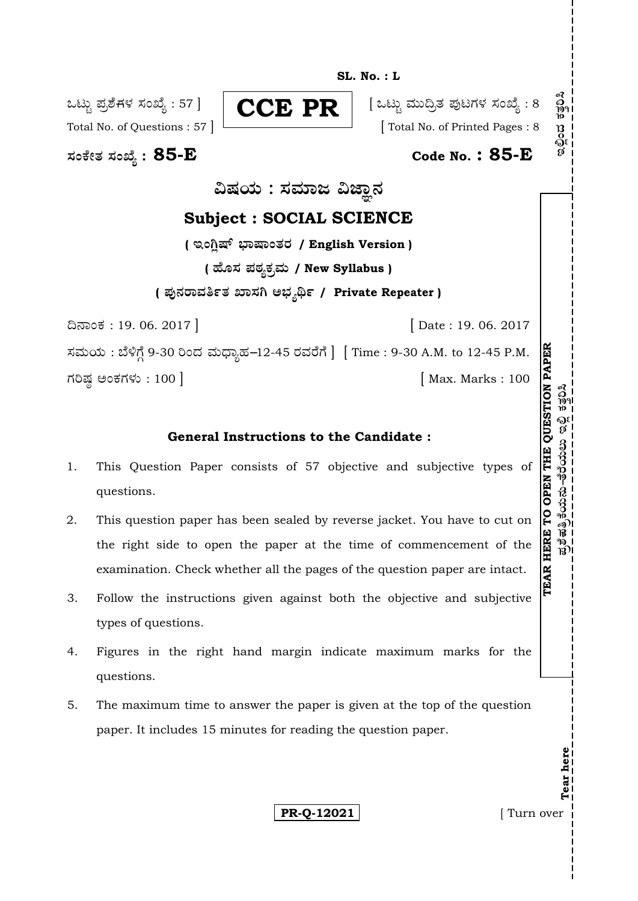**SL. No. : L** 

**—⁄MOÊfi}⁄ —⁄MSÊ¿ : 85-E Code No. : 85-E**

ಒಟ್ಟು ಪ್ರಶೆಗಳ ಸಂಖ್ಯೆ : 57 ]  $\parallel$   $\subset$  $\subset$  $\rm E$   $\rm P$ R  $\parallel$  [ ಒಟ್ಟು ಮುದ್ರಿತ ಪುಟಗಳ ಸಂಖ್ಯೆ : 8 **CCE PR**

Total No. of Questions : 57 ] [ Total No. of Printed Pages : 8

ವಿಷಯ : ಸಮಾಜ ವಿಜ್ಞಾನ

# **Subject : SOCIAL SCIENCE**

( **ಇಂಗ್ಷಿಷ್ ಭಾಷಾಂತರ / English Version** ) **( 'ʇ—⁄ Æ⁄p⁄¿O⁄√»⁄fl / New Syllabus ) ( Æ⁄'¥´⁄¡¤»⁄~%}⁄ S¤—⁄W @∫⁄¥¿£% / Private Repeater )**

¶´¤MO⁄ : 19. 06. 2017 ] [ Date : 19. 06. 2017

ಸಮಯ : ಬೆಳಿಗ್ಗೆ 9-30 ರಿಂದ ಮಧ್ಯಾಹ–12-45 ರವರೆಗೆ ] [Time : 9-30 A.M. to 12-45 P.M. V⁄¬Œ⁄r @MO⁄V⁄◊⁄fl : 100 ] [ Max. Marks : 100

# **General Instructions to the Candidate :**

- 1. This Question Paper consists of 57 objective and subjective types of questions.
- 2. This question paper has been sealed by reverse jacket. You have to cut on the right side to open the paper at the time of commencement of the examination. Check whether all the pages of the question paper are intact.
- 3. Follow the instructions given against both the objective and subjective types of questions.
- 4. Figures in the right hand margin indicate maximum marks for the questions.
- 5. The maximum time to answer the paper is given at the top of the question paper. It includes 15 minutes for reading the question paper.

**PR-0-12021 I** Turn over

**Tear here** 

Tear here

**TEAR HERE TO OPEN THE QUESTION PAPE**

ಪ್ರಶೆಪತ್ರಿಕೆಯನು–ತೆರೆಯಲು ಇಲ್ಲಿ

**R**

 $\tilde{\mathbf{e}}$ ಹ $\tilde{\mathbf{e}}$ ಹತ್ರಿಕೆಯನು–ತೆರೆಯಲು ಇಲ್ಲಿ ಕತ್ತರಿಸಿ

ดวี<br>วิช<sup>ิ</sup>

್ಯಾನಿ<br>ನಿ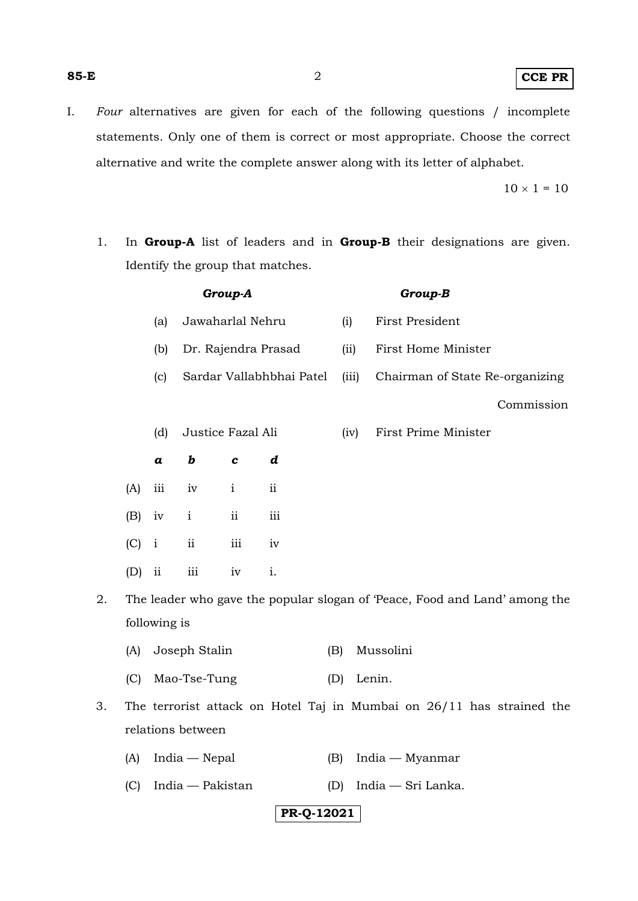#### **85-E** 2 **CCE PR**

I. *Four* alternatives are given for each of the following questions / incomplete statements. Only one of them is correct or most appropriate. Choose the correct alternative and write the complete answer along with its letter of alphabet.

 $10 \times 1 = 10$ 

1. In **Group-A** list of leaders and in **Group-B** their designations are given. Identify the group that matches.

|    | Group-A                                                                    |                  |                          |                         |               |       | Group-B                         |
|----|----------------------------------------------------------------------------|------------------|--------------------------|-------------------------|---------------|-------|---------------------------------|
|    |                                                                            | (a)              | Jawaharlal Nehru         |                         |               | (i)   | First President                 |
|    |                                                                            | (b)              | Dr. Rajendra Prasad      |                         |               | (ii)  | First Home Minister             |
|    |                                                                            | (c)              | Sardar Vallabhbhai Patel |                         |               | (iii) | Chairman of State Re-organizing |
|    |                                                                            |                  |                          |                         |               |       | Commission                      |
|    |                                                                            | (d)              | Justice Fazal Ali        |                         |               | (iv)  | First Prime Minister            |
|    |                                                                            | $\boldsymbol{a}$ | $\bm{b}$                 | $\boldsymbol{c}$        | d             |       |                                 |
|    | (A)                                                                        | iii              | iv                       | $\mathbf{i}$            | $\mathbf{ii}$ |       |                                 |
|    | (B)                                                                        | iv               | $\mathbf{i}$             | ii                      | iii           |       |                                 |
|    | $(C)$ i                                                                    |                  | $\rm ii$                 | $\overline{\text{iii}}$ | iv            |       |                                 |
|    | (D)                                                                        | $\mathbf{ii}$    | $\overline{\text{iii}}$  | iv                      | i.            |       |                                 |
| 2. | The leader who gave the popular slogan of 'Peace, Food and Land' among the |                  |                          |                         |               |       |                                 |

- following is
	- (A) Joseph Stalin (B) Mussolini
	- (C) Mao-Tse-Tung (D) Lenin.
- 3. The terrorist attack on Hotel Taj in Mumbai on 26/11 has strained the relations between
	- (A) India Nepal (B) India Myanmar
	- (C) India Pakistan (D) India Sri Lanka.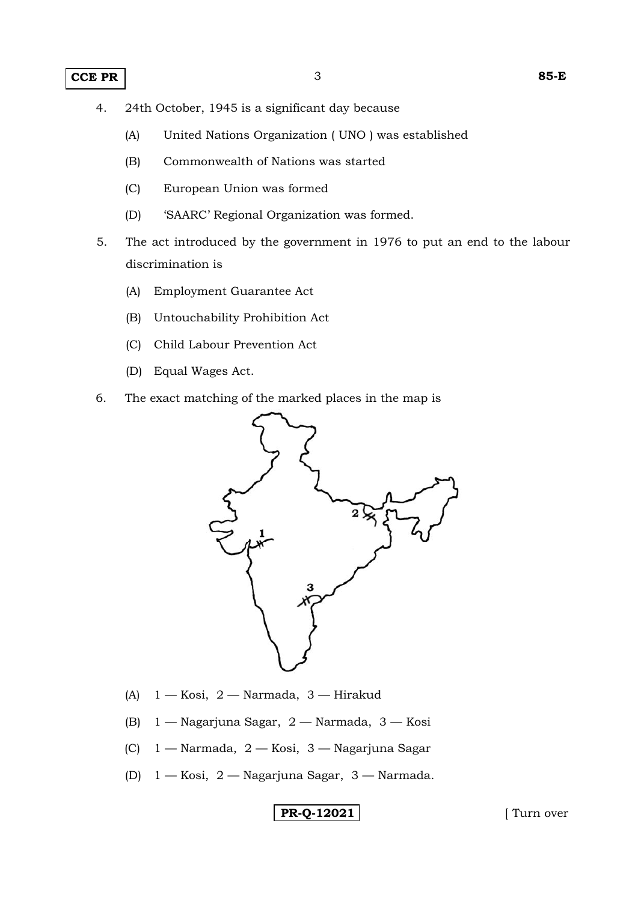- 4. 24th October, 1945 is a significant day because
	- (A) United Nations Organization ( UNO ) was established
	- (B) Commonwealth of Nations was started
	- (C) European Union was formed
	- (D) 'SAARC' Regional Organization was formed.
- 5. The act introduced by the government in 1976 to put an end to the labour discrimination is
	- (A) Employment Guarantee Act
	- (B) Untouchability Prohibition Act
	- (C) Child Labour Prevention Act
	- (D) Equal Wages Act.
- 6. The exact matching of the marked places in the map is



- (A) 1 Kosi, 2 Narmada, 3 Hirakud
- (B) 1 Nagarjuna Sagar, 2 Narmada, 3 Kosi
- (C) 1 Narmada, 2 Kosi, 3 Nagarjuna Sagar
- (D) 1 Kosi, 2 Nagarjuna Sagar, 3 Narmada.

**PR-Q-12021** [ Turn over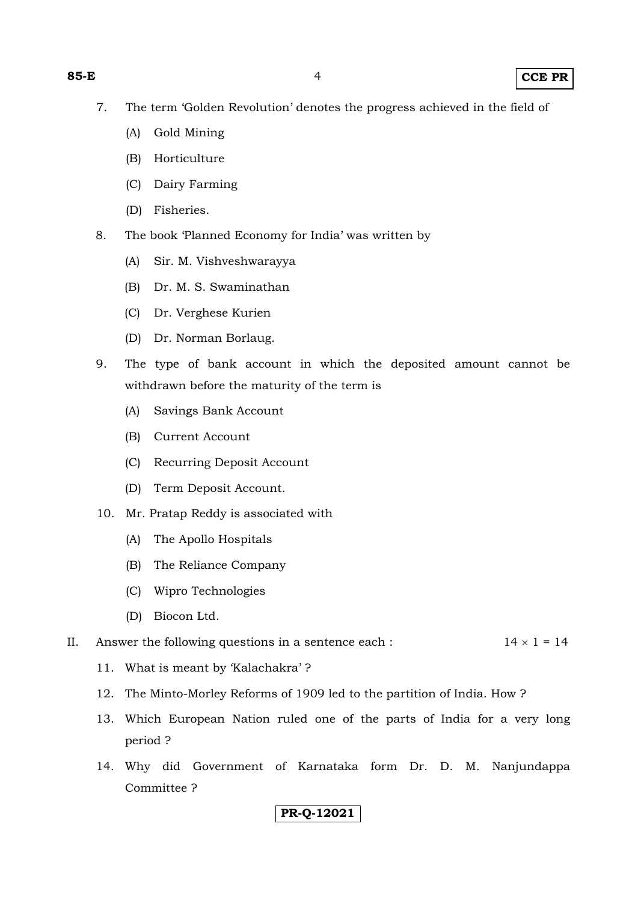- 7. The term 'Golden Revolution' denotes the progress achieved in the field of
	- (A) Gold Mining
	- (B) Horticulture
	- (C) Dairy Farming
	- (D) Fisheries.
- 8. The book 'Planned Economy for India' was written by
	- (A) Sir. M. Vishveshwarayya
	- (B) Dr. M. S. Swaminathan
	- (C) Dr. Verghese Kurien
	- (D) Dr. Norman Borlaug.
- 9. The type of bank account in which the deposited amount cannot be withdrawn before the maturity of the term is
	- (A) Savings Bank Account
	- (B) Current Account
	- (C) Recurring Deposit Account
	- (D) Term Deposit Account.
- 10. Mr. Pratap Reddy is associated with
	- (A) The Apollo Hospitals
	- (B) The Reliance Company
	- (C) Wipro Technologies
	- (D) Biocon Ltd.

#### II. Answer the following questions in a sentence each :  $14 \times 1 = 14$

- 11. What is meant by 'Kalachakra' ?
- 12. The Minto-Morley Reforms of 1909 led to the partition of India. How ?
- 13. Which European Nation ruled one of the parts of India for a very long period ?
- 14. Why did Government of Karnataka form Dr. D. M. Nanjundappa Committee ?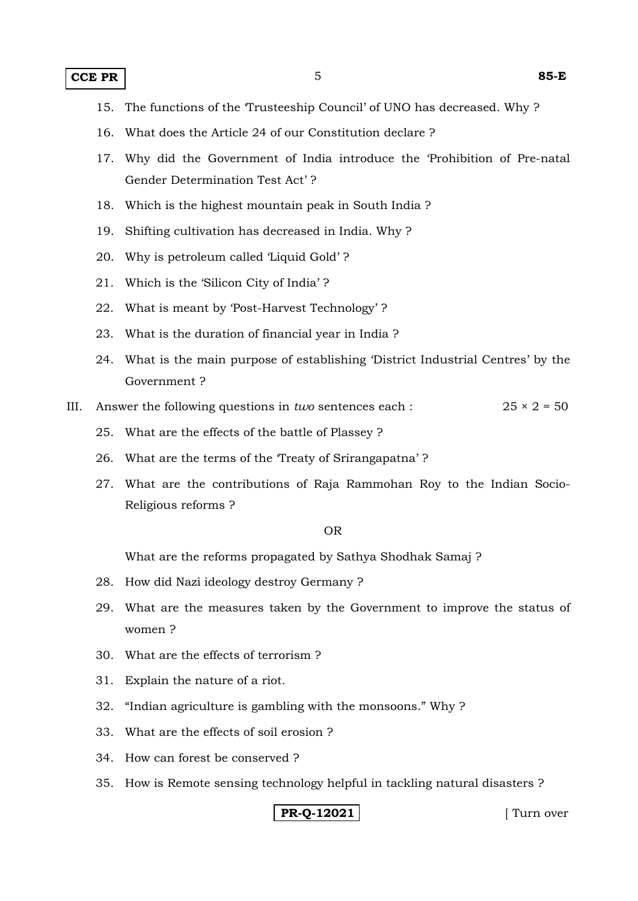- 15. The functions of the 'Trusteeship Council' of UNO has decreased. Why ?
- 16. What does the Article 24 of our Constitution declare ?
- 17. Why did the Government of India introduce the 'Prohibition of Pre-natal Gender Determination Test Act' ?
- 18. Which is the highest mountain peak in South India ?
- 19. Shifting cultivation has decreased in India. Why ?
- 20. Why is petroleum called 'Liquid Gold' ?
- 21. Which is the 'Silicon City of India' ?
- 22. What is meant by 'Post-Harvest Technology' ?
- 23. What is the duration of financial year in India ?
- 24. What is the main purpose of establishing 'District Industrial Centres' by the Government ?
- III. Answer the following questions in *two* sentences each :  $25 \times 2 = 50$ 
	- 25. What are the effects of the battle of Plassey ?
	- 26. What are the terms of the 'Treaty of Srirangapatna' ?
	- 27. What are the contributions of Raja Rammohan Roy to the Indian Socio-Religious reforms ?

#### OR

What are the reforms propagated by Sathya Shodhak Samaj ?

- 28. How did Nazi ideology destroy Germany ?
- 29. What are the measures taken by the Government to improve the status of women ?
- 30. What are the effects of terrorism ?
- 31. Explain the nature of a riot.
- 32. "Indian agriculture is gambling with the monsoons." Why ?
- 33. What are the effects of soil erosion ?
- 34. How can forest be conserved ?
- 35. How is Remote sensing technology helpful in tackling natural disasters ?

**PR-0-12021 I** Turn over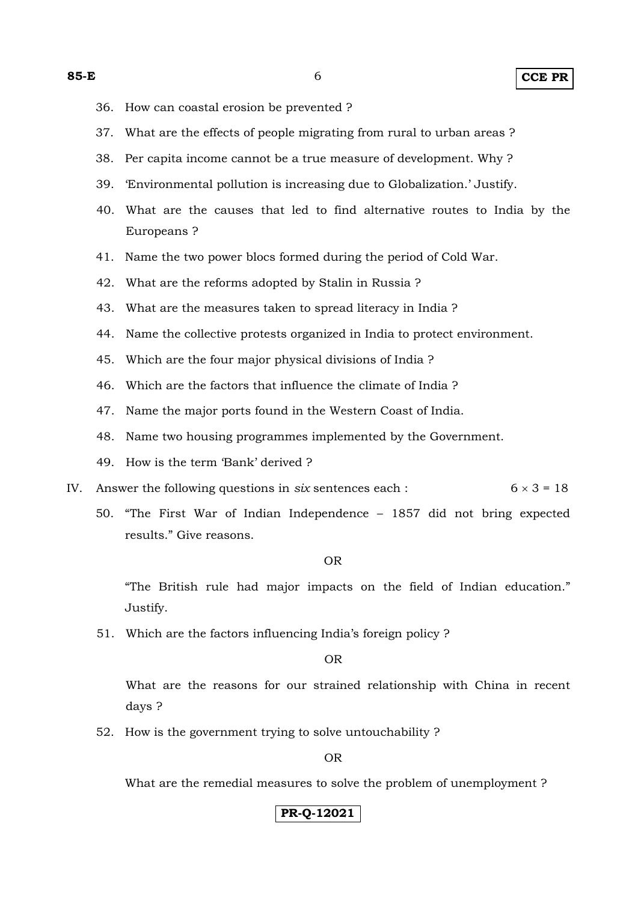- 36. How can coastal erosion be prevented ?
- 37. What are the effects of people migrating from rural to urban areas ?
- 38. Per capita income cannot be a true measure of development. Why ?
- 39. 'Environmental pollution is increasing due to Globalization.' Justify.
- 40. What are the causes that led to find alternative routes to India by the Europeans ?
- 41. Name the two power blocs formed during the period of Cold War.
- 42. What are the reforms adopted by Stalin in Russia ?
- 43. What are the measures taken to spread literacy in India ?
- 44. Name the collective protests organized in India to protect environment.
- 45. Which are the four major physical divisions of India ?
- 46. Which are the factors that influence the climate of India ?
- 47. Name the major ports found in the Western Coast of India.
- 48. Name two housing programmes implemented by the Government.
- 49. How is the term 'Bank' derived ?
- IV. Answer the following questions in *six* sentences each :  $6 \times 3 = 18$ 
	- 50. "The First War of Indian Independence 1857 did not bring expected results." Give reasons.

#### OR

 "The British rule had major impacts on the field of Indian education." Justify.

51. Which are the factors influencing India's foreign policy ?

OR

 What are the reasons for our strained relationship with China in recent days ?

52. How is the government trying to solve untouchability ?

OR

What are the remedial measures to solve the problem of unemployment ?